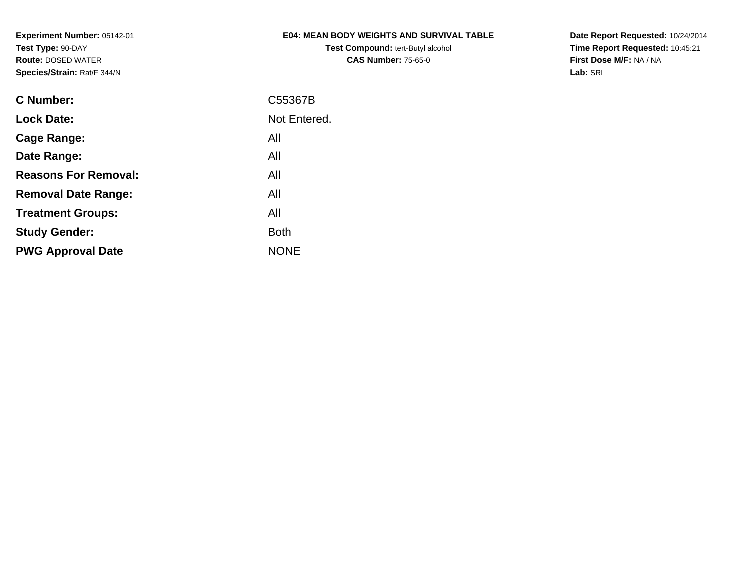## **E04: MEAN BODY WEIGHTS AND SURVIVAL TABLE**

**Test Compound:** tert-Butyl alcohol **CAS Number:** 75-65-0

**Date Report Requested:** 10/24/2014 **Time Report Requested:** 10:45:21**First Dose M/F:** NA / NA**Lab:** SRI

| C55367B      |
|--------------|
| Not Entered. |
| All          |
| All          |
| All          |
| All          |
| All          |
| <b>Both</b>  |
| <b>NONE</b>  |
|              |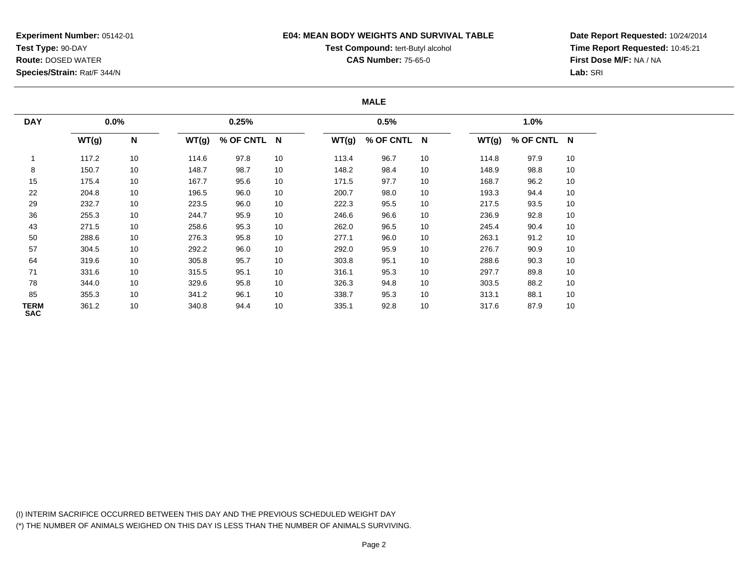#### **E04: MEAN BODY WEIGHTS AND SURVIVAL TABLE**

## **Test Compound:** tert-Butyl alcohol

**CAS Number:** 75-65-0

**Date Report Requested:** 10/24/2014**Time Report Requested:** 10:45:21**First Dose M/F:** NA / NA**Lab:** SRI

### **MALE**

| <b>DAY</b>                | $0.0\%$ |    |       | 0.25%       |    |       | 0.5%        |    |       | 1.0%        |    |
|---------------------------|---------|----|-------|-------------|----|-------|-------------|----|-------|-------------|----|
|                           | WT(g)   | N  | WT(g) | % OF CNTL N |    | WT(g) | % OF CNTL N |    | WT(g) | % OF CNTL N |    |
|                           | 117.2   | 10 | 114.6 | 97.8        | 10 | 113.4 | 96.7        | 10 | 114.8 | 97.9        | 10 |
| 8                         | 150.7   | 10 | 148.7 | 98.7        | 10 | 148.2 | 98.4        | 10 | 148.9 | 98.8        | 10 |
| 15                        | 175.4   | 10 | 167.7 | 95.6        | 10 | 171.5 | 97.7        | 10 | 168.7 | 96.2        | 10 |
| 22                        | 204.8   | 10 | 196.5 | 96.0        | 10 | 200.7 | 98.0        | 10 | 193.3 | 94.4        | 10 |
| 29                        | 232.7   | 10 | 223.5 | 96.0        | 10 | 222.3 | 95.5        | 10 | 217.5 | 93.5        | 10 |
| 36                        | 255.3   | 10 | 244.7 | 95.9        | 10 | 246.6 | 96.6        | 10 | 236.9 | 92.8        | 10 |
| 43                        | 271.5   | 10 | 258.6 | 95.3        | 10 | 262.0 | 96.5        | 10 | 245.4 | 90.4        | 10 |
| 50                        | 288.6   | 10 | 276.3 | 95.8        | 10 | 277.1 | 96.0        | 10 | 263.1 | 91.2        | 10 |
| 57                        | 304.5   | 10 | 292.2 | 96.0        | 10 | 292.0 | 95.9        | 10 | 276.7 | 90.9        | 10 |
| 64                        | 319.6   | 10 | 305.8 | 95.7        | 10 | 303.8 | 95.1        | 10 | 288.6 | 90.3        | 10 |
| 71                        | 331.6   | 10 | 315.5 | 95.1        | 10 | 316.1 | 95.3        | 10 | 297.7 | 89.8        | 10 |
| 78                        | 344.0   | 10 | 329.6 | 95.8        | 10 | 326.3 | 94.8        | 10 | 303.5 | 88.2        | 10 |
| 85                        | 355.3   | 10 | 341.2 | 96.1        | 10 | 338.7 | 95.3        | 10 | 313.1 | 88.1        | 10 |
| <b>TERM</b><br><b>SAC</b> | 361.2   | 10 | 340.8 | 94.4        | 10 | 335.1 | 92.8        | 10 | 317.6 | 87.9        | 10 |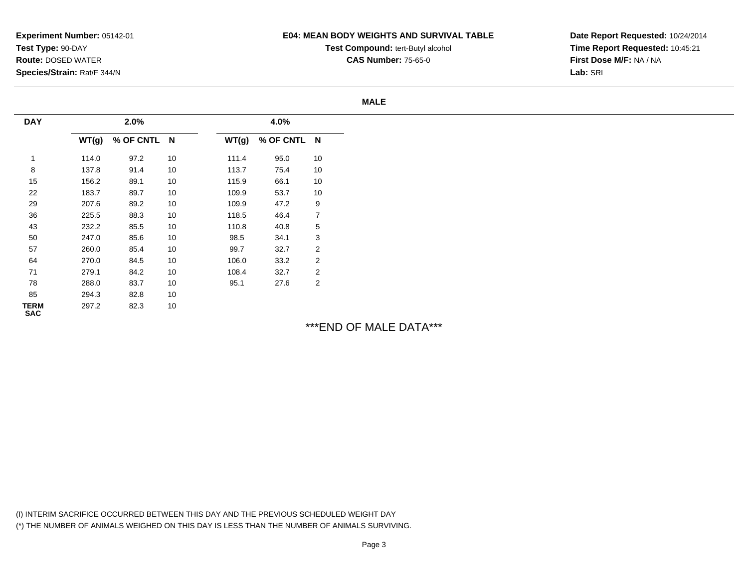### **E04: MEAN BODY WEIGHTS AND SURVIVAL TABLE**

**Test Compound:** tert-Butyl alcohol **CAS Number:** 75-65-0

**Date Report Requested:** 10/24/2014**Time Report Requested:** 10:45:21**First Dose M/F:** NA / NA**Lab:** SRI

#### **MALE**

| <b>DAY</b>                |       | 2.0%        |    |       | 4.0%        |                |
|---------------------------|-------|-------------|----|-------|-------------|----------------|
|                           | WT(g) | % OF CNTL N |    | WT(g) | % OF CNTL N |                |
| 1                         | 114.0 | 97.2        | 10 | 111.4 | 95.0        | 10             |
| 8                         | 137.8 | 91.4        | 10 | 113.7 | 75.4        | 10             |
| 15                        | 156.2 | 89.1        | 10 | 115.9 | 66.1        | 10             |
| 22                        | 183.7 | 89.7        | 10 | 109.9 | 53.7        | 10             |
| 29                        | 207.6 | 89.2        | 10 | 109.9 | 47.2        | 9              |
| 36                        | 225.5 | 88.3        | 10 | 118.5 | 46.4        | 7              |
| 43                        | 232.2 | 85.5        | 10 | 110.8 | 40.8        | 5              |
| 50                        | 247.0 | 85.6        | 10 | 98.5  | 34.1        | 3              |
| 57                        | 260.0 | 85.4        | 10 | 99.7  | 32.7        | $\overline{2}$ |
| 64                        | 270.0 | 84.5        | 10 | 106.0 | 33.2        | $\overline{2}$ |
| 71                        | 279.1 | 84.2        | 10 | 108.4 | 32.7        | 2              |
| 78                        | 288.0 | 83.7        | 10 | 95.1  | 27.6        | 2              |
| 85                        | 294.3 | 82.8        | 10 |       |             |                |
| <b>TERM</b><br><b>SAC</b> | 297.2 | 82.3        | 10 |       |             |                |

\*\*\*END OF MALE DATA\*\*\*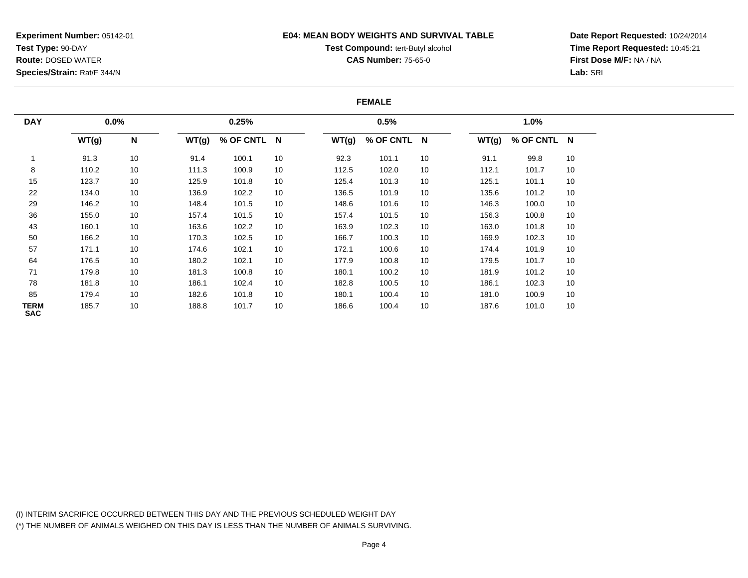### **E04: MEAN BODY WEIGHTS AND SURVIVAL TABLE**

# **Test Compound:** tert-Butyl alcohol

**CAS Number:** 75-65-0

**Date Report Requested:** 10/24/2014**Time Report Requested:** 10:45:21**First Dose M/F:** NA / NA**Lab:** SRI

#### **FEMALE**

| <b>DAY</b>         | 0.0%  |    |       | 0.25%       |    |       | 0.5%        |    |       | 1.0%        |    |
|--------------------|-------|----|-------|-------------|----|-------|-------------|----|-------|-------------|----|
|                    | WT(g) | N  | WT(g) | % OF CNTL N |    | WT(g) | % OF CNTL N |    | WT(g) | % OF CNTL N |    |
|                    | 91.3  | 10 | 91.4  | 100.1       | 10 | 92.3  | 101.1       | 10 | 91.1  | 99.8        | 10 |
| 8                  | 110.2 | 10 | 111.3 | 100.9       | 10 | 112.5 | 102.0       | 10 | 112.1 | 101.7       | 10 |
| 15                 | 123.7 | 10 | 125.9 | 101.8       | 10 | 125.4 | 101.3       | 10 | 125.1 | 101.1       | 10 |
| 22                 | 134.0 | 10 | 136.9 | 102.2       | 10 | 136.5 | 101.9       | 10 | 135.6 | 101.2       | 10 |
| 29                 | 146.2 | 10 | 148.4 | 101.5       | 10 | 148.6 | 101.6       | 10 | 146.3 | 100.0       | 10 |
| 36                 | 155.0 | 10 | 157.4 | 101.5       | 10 | 157.4 | 101.5       | 10 | 156.3 | 100.8       | 10 |
| 43                 | 160.1 | 10 | 163.6 | 102.2       | 10 | 163.9 | 102.3       | 10 | 163.0 | 101.8       | 10 |
| 50                 | 166.2 | 10 | 170.3 | 102.5       | 10 | 166.7 | 100.3       | 10 | 169.9 | 102.3       | 10 |
| 57                 | 171.1 | 10 | 174.6 | 102.1       | 10 | 172.1 | 100.6       | 10 | 174.4 | 101.9       | 10 |
| 64                 | 176.5 | 10 | 180.2 | 102.1       | 10 | 177.9 | 100.8       | 10 | 179.5 | 101.7       | 10 |
| 71                 | 179.8 | 10 | 181.3 | 100.8       | 10 | 180.1 | 100.2       | 10 | 181.9 | 101.2       | 10 |
| 78                 | 181.8 | 10 | 186.1 | 102.4       | 10 | 182.8 | 100.5       | 10 | 186.1 | 102.3       | 10 |
| 85                 | 179.4 | 10 | 182.6 | 101.8       | 10 | 180.1 | 100.4       | 10 | 181.0 | 100.9       | 10 |
| TERM<br><b>SAC</b> | 185.7 | 10 | 188.8 | 101.7       | 10 | 186.6 | 100.4       | 10 | 187.6 | 101.0       | 10 |